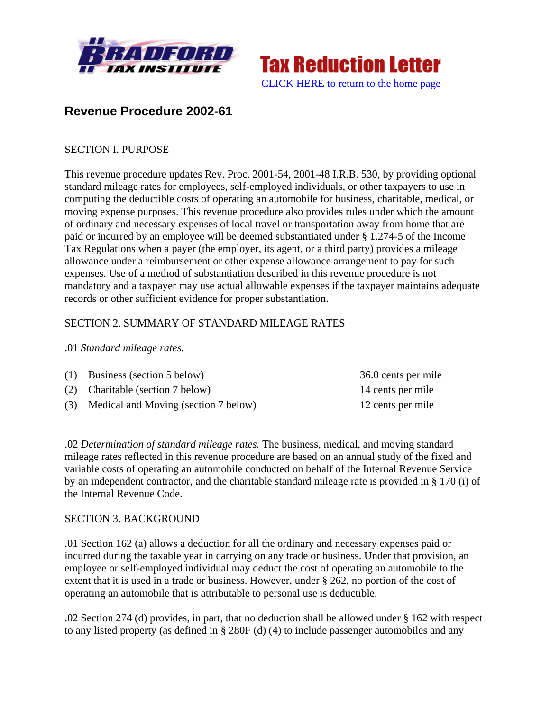



# **Revenue Procedure 2002-61**

### SECTION I. PURPOSE

This revenue procedure updates Rev. Proc. 2001-54, 2001-48 I.R.B. 530, by providing optional standard mileage rates for employees, self-employed individuals, or other taxpayers to use in computing the deductible costs of operating an automobile for business, charitable, medical, or moving expense purposes. This revenue procedure also provides rules under which the amount of ordinary and necessary expenses of local travel or transportation away from home that are paid or incurred by an employee will be deemed substantiated under § 1.274-5 of the Income Tax Regulations when a payer (the employer, its agent, or a third party) provides a mileage allowance under a reimbursement or other expense allowance arrangement to pay for such expenses. Use of a method of substantiation described in this revenue procedure is not mandatory and a taxpayer may use actual allowable expenses if the taxpayer maintains adequate records or other sufficient evidence for proper substantiation.

### SECTION 2. SUMMARY OF STANDARD MILEAGE RATES

### .01 *Standard mileage rates.*

| $(1)$ Business (section 5 below)         | 36.0 cents per mile |
|------------------------------------------|---------------------|
| (2) Charitable (section 7 below)         | 14 cents per mile   |
| (3) Medical and Moving (section 7 below) | 12 cents per mile   |

.02 *Determination of standard mileage rates.* The business, medical, and moving standard mileage rates reflected in this revenue procedure are based on an annual study of the fixed and variable costs of operating an automobile conducted on behalf of the Internal Revenue Service by an independent contractor, and the charitable standard mileage rate is provided in § 170 (i) of the Internal Revenue Code.

### SECTION 3. BACKGROUND

.01 Section 162 (a) allows a deduction for all the ordinary and necessary expenses paid or incurred during the taxable year in carrying on any trade or business. Under that provision, an employee or self-employed individual may deduct the cost of operating an automobile to the extent that it is used in a trade or business. However, under § 262, no portion of the cost of operating an automobile that is attributable to personal use is deductible.

.02 Section 274 (d) provides, in part, that no deduction shall be allowed under § 162 with respect to any listed property (as defined in § 280F (d) (4) to include passenger automobiles and any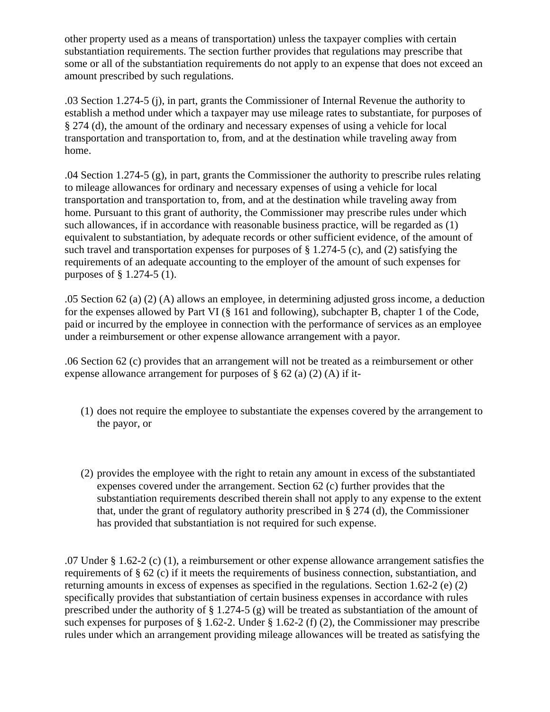other property used as a means of transportation) unless the taxpayer complies with certain substantiation requirements. The section further provides that regulations may prescribe that some or all of the substantiation requirements do not apply to an expense that does not exceed an amount prescribed by such regulations.

.03 Section 1.274-5 (j), in part, grants the Commissioner of Internal Revenue the authority to establish a method under which a taxpayer may use mileage rates to substantiate, for purposes of § 274 (d), the amount of the ordinary and necessary expenses of using a vehicle for local transportation and transportation to, from, and at the destination while traveling away from home.

.04 Section 1.274-5 (g), in part, grants the Commissioner the authority to prescribe rules relating to mileage allowances for ordinary and necessary expenses of using a vehicle for local transportation and transportation to, from, and at the destination while traveling away from home. Pursuant to this grant of authority, the Commissioner may prescribe rules under which such allowances, if in accordance with reasonable business practice, will be regarded as (1) equivalent to substantiation, by adequate records or other sufficient evidence, of the amount of such travel and transportation expenses for purposes of § 1.274-5 (c), and (2) satisfying the requirements of an adequate accounting to the employer of the amount of such expenses for purposes of § 1.274-5 (1).

.05 Section 62 (a) (2) (A) allows an employee, in determining adjusted gross income, a deduction for the expenses allowed by Part VI (§ 161 and following), subchapter B, chapter 1 of the Code, paid or incurred by the employee in connection with the performance of services as an employee under a reimbursement or other expense allowance arrangement with a payor.

.06 Section 62 (c) provides that an arrangement will not be treated as a reimbursement or other expense allowance arrangement for purposes of  $\S 62$  (a) (2) (A) if it-

- (1) does not require the employee to substantiate the expenses covered by the arrangement to the payor, or
- (2) provides the employee with the right to retain any amount in excess of the substantiated expenses covered under the arrangement. Section 62 (c) further provides that the substantiation requirements described therein shall not apply to any expense to the extent that, under the grant of regulatory authority prescribed in § 274 (d), the Commissioner has provided that substantiation is not required for such expense.

.07 Under § 1.62-2 (c) (1), a reimbursement or other expense allowance arrangement satisfies the requirements of § 62 (c) if it meets the requirements of business connection, substantiation, and returning amounts in excess of expenses as specified in the regulations. Section 1.62-2 (e) (2) specifically provides that substantiation of certain business expenses in accordance with rules prescribed under the authority of  $\S 1.274-5$  (g) will be treated as substantiation of the amount of such expenses for purposes of § 1.62-2. Under § 1.62-2 (f) (2), the Commissioner may prescribe rules under which an arrangement providing mileage allowances will be treated as satisfying the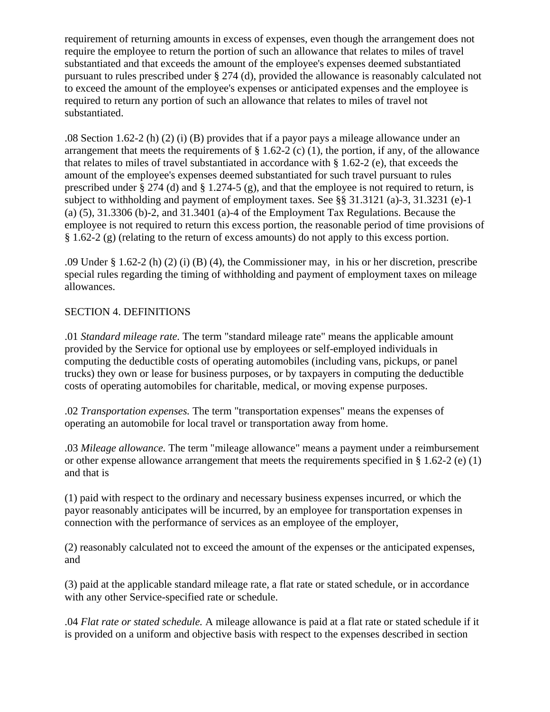requirement of returning amounts in excess of expenses, even though the arrangement does not require the employee to return the portion of such an allowance that relates to miles of travel substantiated and that exceeds the amount of the employee's expenses deemed substantiated pursuant to rules prescribed under § 274 (d), provided the allowance is reasonably calculated not to exceed the amount of the employee's expenses or anticipated expenses and the employee is required to return any portion of such an allowance that relates to miles of travel not substantiated.

.08 Section 1.62-2 (h) (2) (i) (B) provides that if a payor pays a mileage allowance under an arrangement that meets the requirements of  $\S$  1.62-2 (c) (1), the portion, if any, of the allowance that relates to miles of travel substantiated in accordance with § 1.62-2 (e), that exceeds the amount of the employee's expenses deemed substantiated for such travel pursuant to rules prescribed under § 274 (d) and § 1.274-5 (g), and that the employee is not required to return, is subject to withholding and payment of employment taxes. See §§ 31.3121 (a)-3, 31.3231 (e)-1 (a) (5), 31.3306 (b)-2, and 31.3401 (a)-4 of the Employment Tax Regulations. Because the employee is not required to return this excess portion, the reasonable period of time provisions of § 1.62-2 (g) (relating to the return of excess amounts) do not apply to this excess portion.

.09 Under § 1.62-2 (h) (2) (i) (B) (4), the Commissioner may, in his or her discretion, prescribe special rules regarding the timing of withholding and payment of employment taxes on mileage allowances.

# SECTION 4. DEFINITIONS

.01 *Standard mileage rate.* The term "standard mileage rate" means the applicable amount provided by the Service for optional use by employees or self-employed individuals in computing the deductible costs of operating automobiles (including vans, pickups, or panel trucks) they own or lease for business purposes, or by taxpayers in computing the deductible costs of operating automobiles for charitable, medical, or moving expense purposes.

.02 *Transportation expenses.* The term "transportation expenses" means the expenses of operating an automobile for local travel or transportation away from home.

.03 *Mileage allowance.* The term "mileage allowance" means a payment under a reimbursement or other expense allowance arrangement that meets the requirements specified in § 1.62-2 (e) (1) and that is

(1) paid with respect to the ordinary and necessary business expenses incurred, or which the payor reasonably anticipates will be incurred, by an employee for transportation expenses in connection with the performance of services as an employee of the employer,

(2) reasonably calculated not to exceed the amount of the expenses or the anticipated expenses, and

(3) paid at the applicable standard mileage rate, a flat rate or stated schedule, or in accordance with any other Service-specified rate or schedule.

.04 *Flat rate or stated schedule.* A mileage allowance is paid at a flat rate or stated schedule if it is provided on a uniform and objective basis with respect to the expenses described in section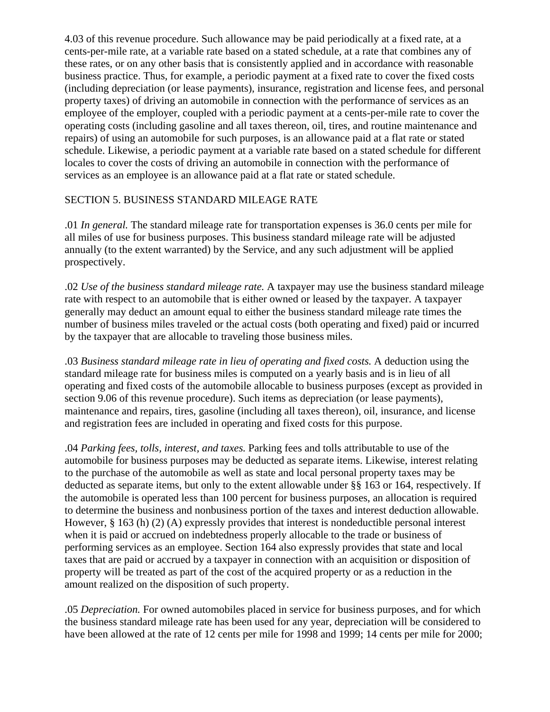4.03 of this revenue procedure. Such allowance may be paid periodically at a fixed rate, at a cents-per-mile rate, at a variable rate based on a stated schedule, at a rate that combines any of these rates, or on any other basis that is consistently applied and in accordance with reasonable business practice. Thus, for example, a periodic payment at a fixed rate to cover the fixed costs (including depreciation (or lease payments), insurance, registration and license fees, and personal property taxes) of driving an automobile in connection with the performance of services as an employee of the employer, coupled with a periodic payment at a cents-per-mile rate to cover the operating costs (including gasoline and all taxes thereon, oil, tires, and routine maintenance and repairs) of using an automobile for such purposes, is an allowance paid at a flat rate or stated schedule. Likewise, a periodic payment at a variable rate based on a stated schedule for different locales to cover the costs of driving an automobile in connection with the performance of services as an employee is an allowance paid at a flat rate or stated schedule.

# SECTION 5. BUSINESS STANDARD MILEAGE RATE

.01 *In general.* The standard mileage rate for transportation expenses is 36.0 cents per mile for all miles of use for business purposes. This business standard mileage rate will be adjusted annually (to the extent warranted) by the Service, and any such adjustment will be applied prospectively.

.02 *Use of the business standard mileage rate.* A taxpayer may use the business standard mileage rate with respect to an automobile that is either owned or leased by the taxpayer. A taxpayer generally may deduct an amount equal to either the business standard mileage rate times the number of business miles traveled or the actual costs (both operating and fixed) paid or incurred by the taxpayer that are allocable to traveling those business miles.

.03 *Business standard mileage rate in lieu of operating and fixed costs.* A deduction using the standard mileage rate for business miles is computed on a yearly basis and is in lieu of all operating and fixed costs of the automobile allocable to business purposes (except as provided in section 9.06 of this revenue procedure). Such items as depreciation (or lease payments), maintenance and repairs, tires, gasoline (including all taxes thereon), oil, insurance, and license and registration fees are included in operating and fixed costs for this purpose.

.04 *Parking fees, tolls, interest, and taxes.* Parking fees and tolls attributable to use of the automobile for business purposes may be deducted as separate items. Likewise, interest relating to the purchase of the automobile as well as state and local personal property taxes may be deducted as separate items, but only to the extent allowable under §§ 163 or 164, respectively. If the automobile is operated less than 100 percent for business purposes, an allocation is required to determine the business and nonbusiness portion of the taxes and interest deduction allowable. However,  $\S$  163 (h) (2) (A) expressly provides that interest is nondeductible personal interest when it is paid or accrued on indebtedness properly allocable to the trade or business of performing services as an employee. Section 164 also expressly provides that state and local taxes that are paid or accrued by a taxpayer in connection with an acquisition or disposition of property will be treated as part of the cost of the acquired property or as a reduction in the amount realized on the disposition of such property.

.05 *Depreciation.* For owned automobiles placed in service for business purposes, and for which the business standard mileage rate has been used for any year, depreciation will be considered to have been allowed at the rate of 12 cents per mile for 1998 and 1999; 14 cents per mile for 2000;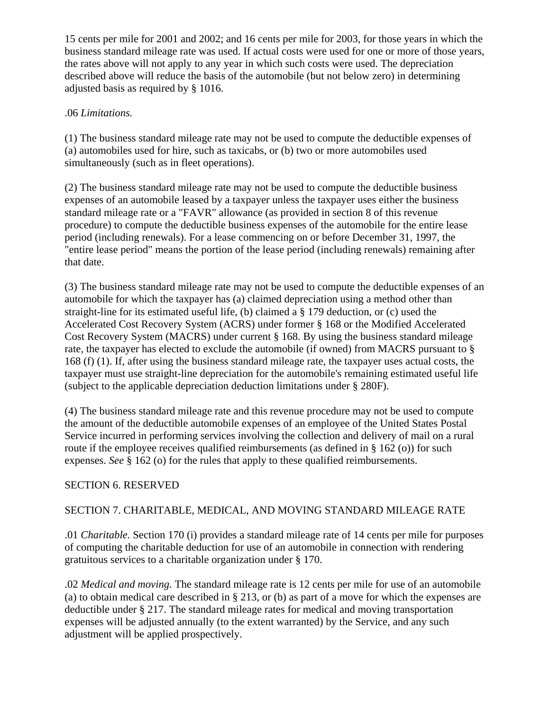15 cents per mile for 2001 and 2002; and 16 cents per mile for 2003, for those years in which the business standard mileage rate was used. If actual costs were used for one or more of those years, the rates above will not apply to any year in which such costs were used. The depreciation described above will reduce the basis of the automobile (but not below zero) in determining adjusted basis as required by § 1016.

# .06 *Limitations.*

(1) The business standard mileage rate may not be used to compute the deductible expenses of (a) automobiles used for hire, such as taxicabs, or (b) two or more automobiles used simultaneously (such as in fleet operations).

(2) The business standard mileage rate may not be used to compute the deductible business expenses of an automobile leased by a taxpayer unless the taxpayer uses either the business standard mileage rate or a "FAVR" allowance (as provided in section 8 of this revenue procedure) to compute the deductible business expenses of the automobile for the entire lease period (including renewals). For a lease commencing on or before December 31, 1997, the "entire lease period" means the portion of the lease period (including renewals) remaining after that date.

(3) The business standard mileage rate may not be used to compute the deductible expenses of an automobile for which the taxpayer has (a) claimed depreciation using a method other than straight-line for its estimated useful life, (b) claimed a § 179 deduction, or (c) used the Accelerated Cost Recovery System (ACRS) under former § 168 or the Modified Accelerated Cost Recovery System (MACRS) under current § 168. By using the business standard mileage rate, the taxpayer has elected to exclude the automobile (if owned) from MACRS pursuant to § 168 (f) (1). If, after using the business standard mileage rate, the taxpayer uses actual costs, the taxpayer must use straight-line depreciation for the automobile's remaining estimated useful life (subject to the applicable depreciation deduction limitations under § 280F).

(4) The business standard mileage rate and this revenue procedure may not be used to compute the amount of the deductible automobile expenses of an employee of the United States Postal Service incurred in performing services involving the collection and delivery of mail on a rural route if the employee receives qualified reimbursements (as defined in § 162 (o)) for such expenses. *See* § 162 (o) for the rules that apply to these qualified reimbursements.

# SECTION 6. RESERVED

# SECTION 7. CHARITABLE, MEDICAL, AND MOVING STANDARD MILEAGE RATE

.01 *Charitable.* Section 170 (i) provides a standard mileage rate of 14 cents per mile for purposes of computing the charitable deduction for use of an automobile in connection with rendering gratuitous services to a charitable organization under § 170.

.02 *Medical and moving.* The standard mileage rate is 12 cents per mile for use of an automobile (a) to obtain medical care described in § 213, or (b) as part of a move for which the expenses are deductible under § 217. The standard mileage rates for medical and moving transportation expenses will be adjusted annually (to the extent warranted) by the Service, and any such adjustment will be applied prospectively.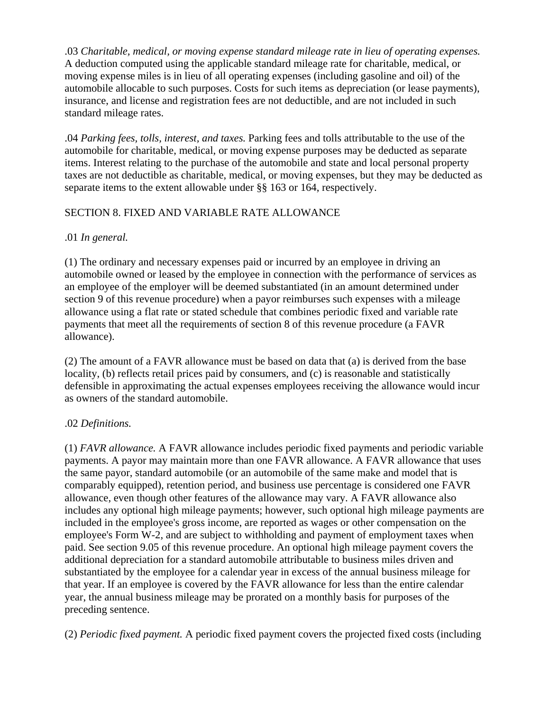.03 *Charitable, medical, or moving expense standard mileage rate in lieu of operating expenses.* A deduction computed using the applicable standard mileage rate for charitable, medical, or moving expense miles is in lieu of all operating expenses (including gasoline and oil) of the automobile allocable to such purposes. Costs for such items as depreciation (or lease payments), insurance, and license and registration fees are not deductible, and are not included in such standard mileage rates.

.04 *Parking fees, tolls, interest, and taxes.* Parking fees and tolls attributable to the use of the automobile for charitable, medical, or moving expense purposes may be deducted as separate items. Interest relating to the purchase of the automobile and state and local personal property taxes are not deductible as charitable, medical, or moving expenses, but they may be deducted as separate items to the extent allowable under §§ 163 or 164, respectively.

# SECTION 8. FIXED AND VARIABLE RATE ALLOWANCE

# .01 *In general.*

(1) The ordinary and necessary expenses paid or incurred by an employee in driving an automobile owned or leased by the employee in connection with the performance of services as an employee of the employer will be deemed substantiated (in an amount determined under section 9 of this revenue procedure) when a payor reimburses such expenses with a mileage allowance using a flat rate or stated schedule that combines periodic fixed and variable rate payments that meet all the requirements of section 8 of this revenue procedure (a FAVR allowance).

(2) The amount of a FAVR allowance must be based on data that (a) is derived from the base locality, (b) reflects retail prices paid by consumers, and (c) is reasonable and statistically defensible in approximating the actual expenses employees receiving the allowance would incur as owners of the standard automobile.

# .02 *Definitions.*

(1) *FAVR allowance.* A FAVR allowance includes periodic fixed payments and periodic variable payments. A payor may maintain more than one FAVR allowance. A FAVR allowance that uses the same payor, standard automobile (or an automobile of the same make and model that is comparably equipped), retention period, and business use percentage is considered one FAVR allowance, even though other features of the allowance may vary. A FAVR allowance also includes any optional high mileage payments; however, such optional high mileage payments are included in the employee's gross income, are reported as wages or other compensation on the employee's Form W-2, and are subject to withholding and payment of employment taxes when paid. See section 9.05 of this revenue procedure. An optional high mileage payment covers the additional depreciation for a standard automobile attributable to business miles driven and substantiated by the employee for a calendar year in excess of the annual business mileage for that year. If an employee is covered by the FAVR allowance for less than the entire calendar year, the annual business mileage may be prorated on a monthly basis for purposes of the preceding sentence.

(2) *Periodic fixed payment.* A periodic fixed payment covers the projected fixed costs (including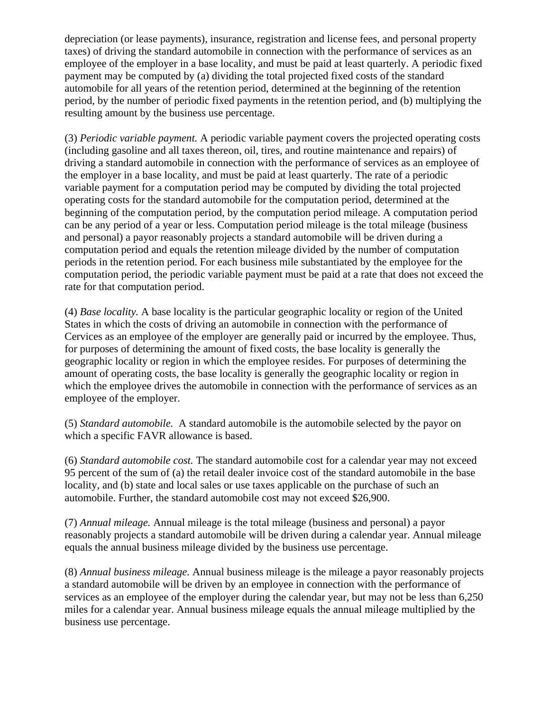depreciation (or lease payments), insurance, registration and license fees, and personal property taxes) of driving the standard automobile in connection with the performance of services as an employee of the employer in a base locality, and must be paid at least quarterly. A periodic fixed payment may be computed by (a) dividing the total projected fixed costs of the standard automobile for all years of the retention period, determined at the beginning of the retention period, by the number of periodic fixed payments in the retention period, and (b) multiplying the resulting amount by the business use percentage.

(3) *Periodic variable payment.* A periodic variable payment covers the projected operating costs (including gasoline and all taxes thereon, oil, tires, and routine maintenance and repairs) of driving a standard automobile in connection with the performance of services as an employee of the employer in a base locality, and must be paid at least quarterly. The rate of a periodic variable payment for a computation period may be computed by dividing the total projected operating costs for the standard automobile for the computation period, determined at the beginning of the computation period, by the computation period mileage. A computation period can be any period of a year or less. Computation period mileage is the total mileage (business and personal) a payor reasonably projects a standard automobile will be driven during a computation period and equals the retention mileage divided by the number of computation periods in the retention period. For each business mile substantiated by the employee for the computation period, the periodic variable payment must be paid at a rate that does not exceed the rate for that computation period.

(4) *Base locality.* A base locality is the particular geographic locality or region of the United States in which the costs of driving an automobile in connection with the performance of Cervices as an employee of the employer are generally paid or incurred by the employee. Thus, for purposes of determining the amount of fixed costs, the base locality is generally the geographic locality or region in which the employee resides. For purposes of determining the amount of operating costs, the base locality is generally the geographic locality or region in which the employee drives the automobile in connection with the performance of services as an employee of the employer.

(5) *Standard automobile.* A standard automobile is the automobile selected by the payor on which a specific FAVR allowance is based.

(6) *Standard automobile cost.* The standard automobile cost for a calendar year may not exceed 95 percent of the sum of (a) the retail dealer invoice cost of the standard automobile in the base locality, and (b) state and local sales or use taxes applicable on the purchase of such an automobile. Further, the standard automobile cost may not exceed \$26,900.

(7) *Annual mileage.* Annual mileage is the total mileage (business and personal) a payor reasonably projects a standard automobile will be driven during a calendar year. Annual mileage equals the annual business mileage divided by the business use percentage.

(8) *Annual business mileage.* Annual business mileage is the mileage a payor reasonably projects a standard automobile will be driven by an employee in connection with the performance of services as an employee of the employer during the calendar year, but may not be less than 6,250 miles for a calendar year. Annual business mileage equals the annual mileage multiplied by the business use percentage.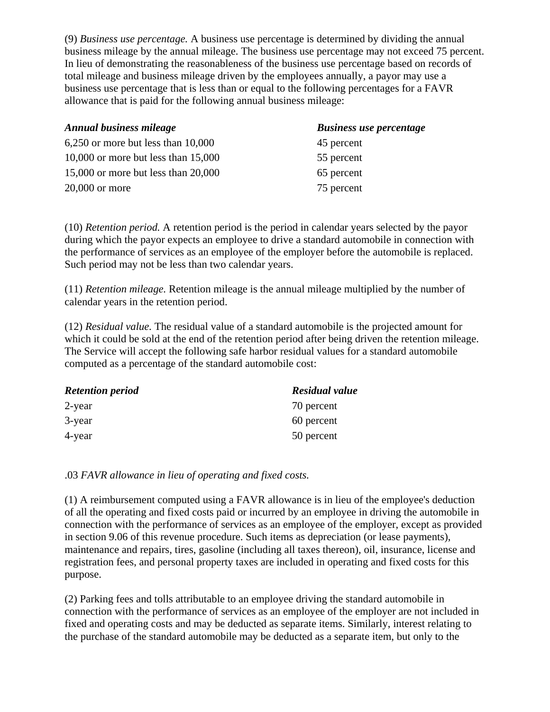(9) *Business use percentage.* A business use percentage is determined by dividing the annual business mileage by the annual mileage. The business use percentage may not exceed 75 percent. In lieu of demonstrating the reasonableness of the business use percentage based on records of total mileage and business mileage driven by the employees annually, a payor may use a business use percentage that is less than or equal to the following percentages for a FAVR allowance that is paid for the following annual business mileage:

| <b>Annual business mileage</b>         | <b>Business use percentage</b> |  |
|----------------------------------------|--------------------------------|--|
| $6,250$ or more but less than $10,000$ | 45 percent                     |  |
| 10,000 or more but less than $15,000$  | 55 percent                     |  |
| 15,000 or more but less than $20,000$  | 65 percent                     |  |
| $20,000$ or more                       | 75 percent                     |  |

(10) *Retention period.* A retention period is the period in calendar years selected by the payor during which the payor expects an employee to drive a standard automobile in connection with the performance of services as an employee of the employer before the automobile is replaced. Such period may not be less than two calendar years.

(11) *Retention mileage.* Retention mileage is the annual mileage multiplied by the number of calendar years in the retention period.

(12) *Residual value.* The residual value of a standard automobile is the projected amount for which it could be sold at the end of the retention period after being driven the retention mileage. The Service will accept the following safe harbor residual values for a standard automobile computed as a percentage of the standard automobile cost:

| <b>Retention period</b> | <b>Residual value</b> |  |
|-------------------------|-----------------------|--|
| 2-year                  | 70 percent            |  |
| 3-year                  | 60 percent            |  |
| 4-year                  | 50 percent            |  |

.03 *FAVR allowance in lieu of operating and fixed costs.*

(1) A reimbursement computed using a FAVR allowance is in lieu of the employee's deduction of all the operating and fixed costs paid or incurred by an employee in driving the automobile in connection with the performance of services as an employee of the employer, except as provided in section 9.06 of this revenue procedure. Such items as depreciation (or lease payments), maintenance and repairs, tires, gasoline (including all taxes thereon), oil, insurance, license and registration fees, and personal property taxes are included in operating and fixed costs for this purpose.

(2) Parking fees and tolls attributable to an employee driving the standard automobile in connection with the performance of services as an employee of the employer are not included in fixed and operating costs and may be deducted as separate items. Similarly, interest relating to the purchase of the standard automobile may be deducted as a separate item, but only to the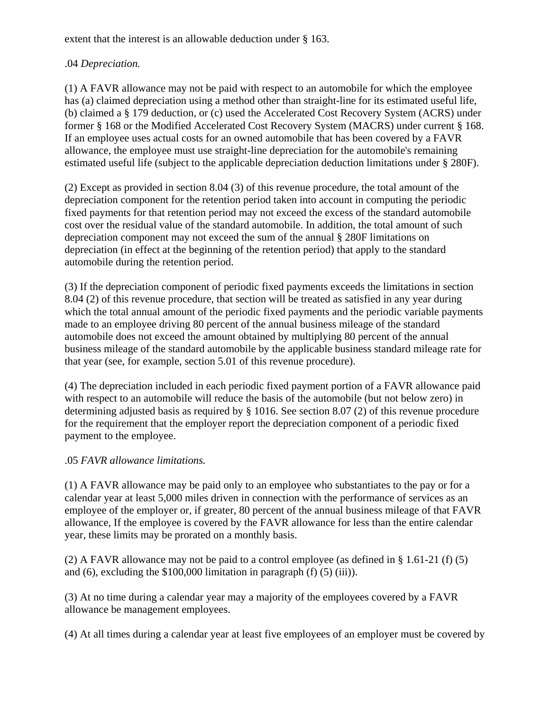extent that the interest is an allowable deduction under § 163.

# .04 *Depreciation.*

(1) A FAVR allowance may not be paid with respect to an automobile for which the employee has (a) claimed depreciation using a method other than straight-line for its estimated useful life, (b) claimed a § 179 deduction, or (c) used the Accelerated Cost Recovery System (ACRS) under former § 168 or the Modified Accelerated Cost Recovery System (MACRS) under current § 168. If an employee uses actual costs for an owned automobile that has been covered by a FAVR allowance, the employee must use straight-line depreciation for the automobile's remaining estimated useful life (subject to the applicable depreciation deduction limitations under § 280F).

(2) Except as provided in section 8.04 (3) of this revenue procedure, the total amount of the depreciation component for the retention period taken into account in computing the periodic fixed payments for that retention period may not exceed the excess of the standard automobile cost over the residual value of the standard automobile. In addition, the total amount of such depreciation component may not exceed the sum of the annual § 280F limitations on depreciation (in effect at the beginning of the retention period) that apply to the standard automobile during the retention period.

(3) If the depreciation component of periodic fixed payments exceeds the limitations in section 8.04 (2) of this revenue procedure, that section will be treated as satisfied in any year during which the total annual amount of the periodic fixed payments and the periodic variable payments made to an employee driving 80 percent of the annual business mileage of the standard automobile does not exceed the amount obtained by multiplying 80 percent of the annual business mileage of the standard automobile by the applicable business standard mileage rate for that year (see, for example, section 5.01 of this revenue procedure).

(4) The depreciation included in each periodic fixed payment portion of a FAVR allowance paid with respect to an automobile will reduce the basis of the automobile (but not below zero) in determining adjusted basis as required by § 1016. See section 8.07 (2) of this revenue procedure for the requirement that the employer report the depreciation component of a periodic fixed payment to the employee.

# .05 *FAVR allowance limitations.*

(1) A FAVR allowance may be paid only to an employee who substantiates to the pay or for a calendar year at least 5,000 miles driven in connection with the performance of services as an employee of the employer or, if greater, 80 percent of the annual business mileage of that FAVR allowance, If the employee is covered by the FAVR allowance for less than the entire calendar year, these limits may be prorated on a monthly basis.

(2) A FAVR allowance may not be paid to a control employee (as defined in § 1.61-21 (f) (5) and  $(6)$ , excluding the \$100,000 limitation in paragraph  $(f)$   $(5)$   $(iii)$ ).

(3) At no time during a calendar year may a majority of the employees covered by a FAVR allowance be management employees.

(4) At all times during a calendar year at least five employees of an employer must be covered by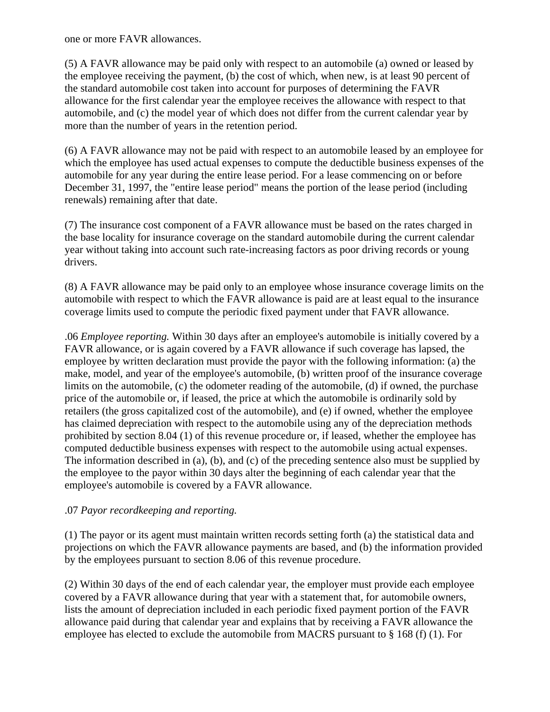one or more FAVR allowances.

(5) A FAVR allowance may be paid only with respect to an automobile (a) owned or leased by the employee receiving the payment, (b) the cost of which, when new, is at least 90 percent of the standard automobile cost taken into account for purposes of determining the FAVR allowance for the first calendar year the employee receives the allowance with respect to that automobile, and (c) the model year of which does not differ from the current calendar year by more than the number of years in the retention period.

(6) A FAVR allowance may not be paid with respect to an automobile leased by an employee for which the employee has used actual expenses to compute the deductible business expenses of the automobile for any year during the entire lease period. For a lease commencing on or before December 31, 1997, the "entire lease period" means the portion of the lease period (including renewals) remaining after that date.

(7) The insurance cost component of a FAVR allowance must be based on the rates charged in the base locality for insurance coverage on the standard automobile during the current calendar year without taking into account such rate-increasing factors as poor driving records or young drivers.

(8) A FAVR allowance may be paid only to an employee whose insurance coverage limits on the automobile with respect to which the FAVR allowance is paid are at least equal to the insurance coverage limits used to compute the periodic fixed payment under that FAVR allowance.

.06 *Employee reporting.* Within 30 days after an employee's automobile is initially covered by a FAVR allowance, or is again covered by a FAVR allowance if such coverage has lapsed, the employee by written declaration must provide the payor with the following information: (a) the make, model, and year of the employee's automobile, (b) written proof of the insurance coverage limits on the automobile, (c) the odometer reading of the automobile, (d) if owned, the purchase price of the automobile or, if leased, the price at which the automobile is ordinarily sold by retailers (the gross capitalized cost of the automobile), and (e) if owned, whether the employee has claimed depreciation with respect to the automobile using any of the depreciation methods prohibited by section 8.04 (1) of this revenue procedure or, if leased, whether the employee has computed deductible business expenses with respect to the automobile using actual expenses. The information described in (a), (b), and (c) of the preceding sentence also must be supplied by the employee to the payor within 30 days alter the beginning of each calendar year that the employee's automobile is covered by a FAVR allowance.

### .07 *Payor recordkeeping and reporting.*

(1) The payor or its agent must maintain written records setting forth (a) the statistical data and projections on which the FAVR allowance payments are based, and (b) the information provided by the employees pursuant to section 8.06 of this revenue procedure.

(2) Within 30 days of the end of each calendar year, the employer must provide each employee covered by a FAVR allowance during that year with a statement that, for automobile owners, lists the amount of depreciation included in each periodic fixed payment portion of the FAVR allowance paid during that calendar year and explains that by receiving a FAVR allowance the employee has elected to exclude the automobile from MACRS pursuant to § 168 (f) (1). For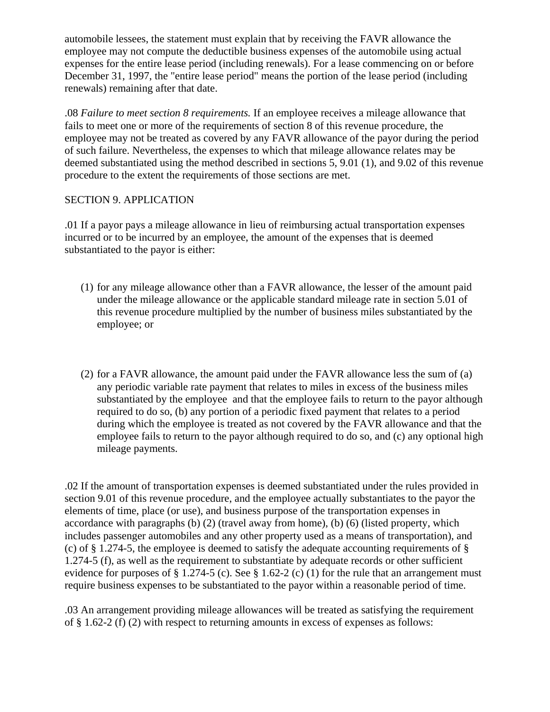automobile lessees, the statement must explain that by receiving the FAVR allowance the employee may not compute the deductible business expenses of the automobile using actual expenses for the entire lease period (including renewals). For a lease commencing on or before December 31, 1997, the "entire lease period" means the portion of the lease period (including renewals) remaining after that date.

.08 *Failure to meet section 8 requirements.* If an employee receives a mileage allowance that fails to meet one or more of the requirements of section 8 of this revenue procedure, the employee may not be treated as covered by any FAVR allowance of the payor during the period of such failure. Nevertheless, the expenses to which that mileage allowance relates may be deemed substantiated using the method described in sections 5, 9.01 (1), and 9.02 of this revenue procedure to the extent the requirements of those sections are met.

# SECTION 9. APPLICATION

.01 If a payor pays a mileage allowance in lieu of reimbursing actual transportation expenses incurred or to be incurred by an employee, the amount of the expenses that is deemed substantiated to the payor is either:

- (1) for any mileage allowance other than a FAVR allowance, the lesser of the amount paid under the mileage allowance or the applicable standard mileage rate in section 5.01 of this revenue procedure multiplied by the number of business miles substantiated by the employee; or
- (2) for a FAVR allowance, the amount paid under the FAVR allowance less the sum of (a) any periodic variable rate payment that relates to miles in excess of the business miles substantiated by the employee and that the employee fails to return to the payor although required to do so, (b) any portion of a periodic fixed payment that relates to a period during which the employee is treated as not covered by the FAVR allowance and that the employee fails to return to the payor although required to do so, and (c) any optional high mileage payments.

.02 If the amount of transportation expenses is deemed substantiated under the rules provided in section 9.01 of this revenue procedure, and the employee actually substantiates to the payor the elements of time, place (or use), and business purpose of the transportation expenses in accordance with paragraphs (b) (2) (travel away from home), (b) (6) (listed property, which includes passenger automobiles and any other property used as a means of transportation), and (c) of § 1.274-5, the employee is deemed to satisfy the adequate accounting requirements of § 1.274-5 (f), as well as the requirement to substantiate by adequate records or other sufficient evidence for purposes of § 1.274-5 (c). See § 1.62-2 (c) (1) for the rule that an arrangement must require business expenses to be substantiated to the payor within a reasonable period of time.

.03 An arrangement providing mileage allowances will be treated as satisfying the requirement of § 1.62-2 (f) (2) with respect to returning amounts in excess of expenses as follows: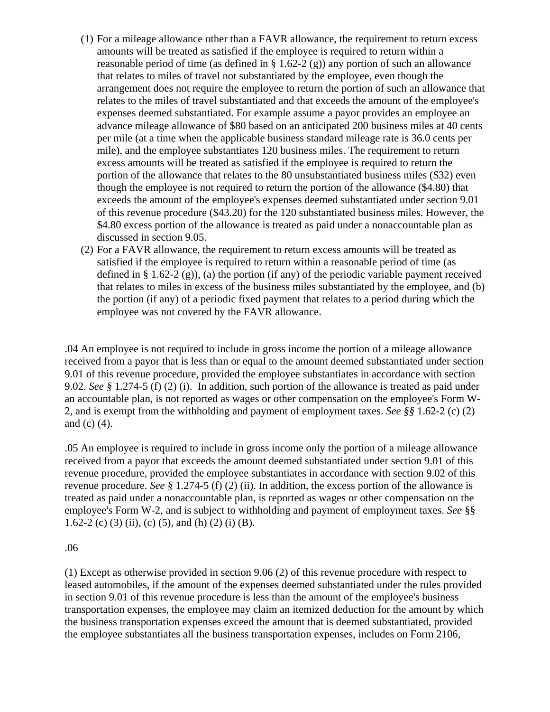- (1) For a mileage allowance other than a FAVR allowance, the requirement to return excess amounts will be treated as satisfied if the employee is required to return within a reasonable period of time (as defined in  $\S 1.62-2(g)$ ) any portion of such an allowance that relates to miles of travel not substantiated by the employee, even though the arrangement does not require the employee to return the portion of such an allowance that relates to the miles of travel substantiated and that exceeds the amount of the employee's expenses deemed substantiated. For example assume a payor provides an employee an advance mileage allowance of \$80 based on an anticipated 200 business miles at 40 cents per mile (at a time when the applicable business standard mileage rate is 36.0 cents per mile), and the employee substantiates 120 business miles. The requirement to return excess amounts will be treated as satisfied if the employee is required to return the portion of the allowance that relates to the 80 unsubstantiated business miles (\$32) even though the employee is not required to return the portion of the allowance (\$4.80) that exceeds the amount of the employee's expenses deemed substantiated under section 9.01 of this revenue procedure (\$43.20) for the 120 substantiated business miles. However, the \$4.80 excess portion of the allowance is treated as paid under a nonaccountable plan as discussed in section 9.05.
- (2) For a FAVR allowance, the requirement to return excess amounts will be treated as satisfied if the employee is required to return within a reasonable period of time (as defined in § 1.62-2 (g)), (a) the portion (if any) of the periodic variable payment received that relates to miles in excess of the business miles substantiated by the employee, and (b) the portion (if any) of a periodic fixed payment that relates to a period during which the employee was not covered by the FAVR allowance.

.04 An employee is not required to include in gross income the portion of a mileage allowance received from a payor that is less than or equal to the amount deemed substantiated under section 9.01 of this revenue procedure, provided the employee substantiates in accordance with section 9.02. *See §* 1.274-5 (f) (2) (i). In addition, such portion of the allowance is treated as paid under an accountable plan, is not reported as wages or other compensation on the employee's Form W-2, and is exempt from the withholding and payment of employment taxes. *See §§* 1.62-2 (c) (2) and (c) (4).

.05 An employee is required to include in gross income only the portion of a mileage allowance received from a payor that exceeds the amount deemed substantiated under section 9.01 of this revenue procedure, provided the employee substantiates in accordance with section 9.02 of this revenue procedure. *See §* 1.274-5 (f) (2) (ii). In addition, the excess portion of the allowance is treated as paid under a nonaccountable plan, is reported as wages or other compensation on the employee's Form W-2, and is subject to withholding and payment of employment taxes. *See* §§ 1.62-2 (c) (3) (ii), (c) (5), and (h) (2) (i) (B).

### .06

(1) Except as otherwise provided in section 9.06 (2) of this revenue procedure with respect to leased automobiles, if the amount of the expenses deemed substantiated under the rules provided in section 9.01 of this revenue procedure is less than the amount of the employee's business transportation expenses, the employee may claim an itemized deduction for the amount by which the business transportation expenses exceed the amount that is deemed substantiated, provided the employee substantiates all the business transportation expenses, includes on Form 2106,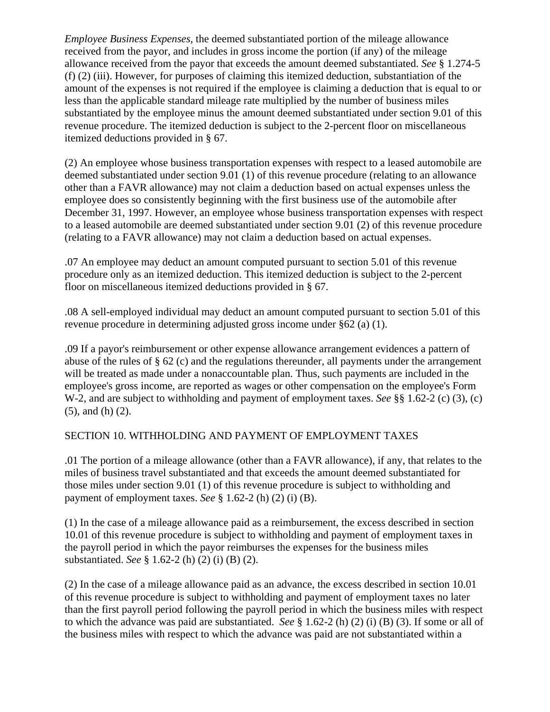*Employee Business Expenses*, the deemed substantiated portion of the mileage allowance received from the payor, and includes in gross income the portion (if any) of the mileage allowance received from the payor that exceeds the amount deemed substantiated. *See* § 1.274-5 (f) (2) (iii). However, for purposes of claiming this itemized deduction, substantiation of the amount of the expenses is not required if the employee is claiming a deduction that is equal to or less than the applicable standard mileage rate multiplied by the number of business miles substantiated by the employee minus the amount deemed substantiated under section 9.01 of this revenue procedure. The itemized deduction is subject to the 2-percent floor on miscellaneous itemized deductions provided in § 67.

(2) An employee whose business transportation expenses with respect to a leased automobile are deemed substantiated under section 9.01 (1) of this revenue procedure (relating to an allowance other than a FAVR allowance) may not claim a deduction based on actual expenses unless the employee does so consistently beginning with the first business use of the automobile after December 31, 1997. However, an employee whose business transportation expenses with respect to a leased automobile are deemed substantiated under section 9.01 (2) of this revenue procedure (relating to a FAVR allowance) may not claim a deduction based on actual expenses.

.07 An employee may deduct an amount computed pursuant to section 5.01 of this revenue procedure only as an itemized deduction. This itemized deduction is subject to the 2-percent floor on miscellaneous itemized deductions provided in § 67.

.08 A sell-employed individual may deduct an amount computed pursuant to section 5.01 of this revenue procedure in determining adjusted gross income under §62 (a) (1).

.09 If a payor's reimbursement or other expense allowance arrangement evidences a pattern of abuse of the rules of § 62 (c) and the regulations thereunder, all payments under the arrangement will be treated as made under a nonaccountable plan. Thus, such payments are included in the employee's gross income, are reported as wages or other compensation on the employee's Form W-2, and are subject to withholding and payment of employment taxes. *See* §§ 1.62-2 (c) (3), (c) (5), and (h) (2).

# SECTION 10. WITHHOLDING AND PAYMENT OF EMPLOYMENT TAXES

.01 The portion of a mileage allowance (other than a FAVR allowance), if any, that relates to the miles of business travel substantiated and that exceeds the amount deemed substantiated for those miles under section 9.01 (1) of this revenue procedure is subject to withholding and payment of employment taxes. *See* § 1.62-2 (h) (2) (i) (B).

(1) In the case of a mileage allowance paid as a reimbursement, the excess described in section 10.01 of this revenue procedure is subject to withholding and payment of employment taxes in the payroll period in which the payor reimburses the expenses for the business miles substantiated. *See* § 1.62-2 (h) (2) (i) (B) (2).

(2) In the case of a mileage allowance paid as an advance, the excess described in section 10.01 of this revenue procedure is subject to withholding and payment of employment taxes no later than the first payroll period following the payroll period in which the business miles with respect to which the advance was paid are substantiated. *See* § 1.62-2 (h) (2) (i) (B) (3). If some or all of the business miles with respect to which the advance was paid are not substantiated within a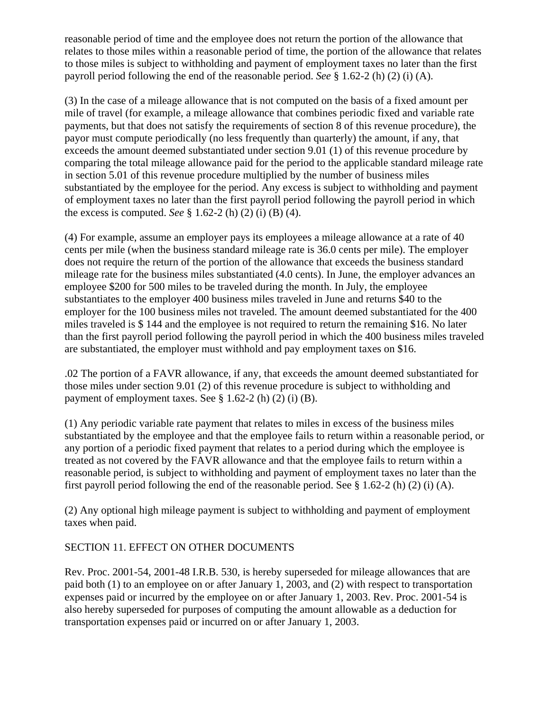reasonable period of time and the employee does not return the portion of the allowance that relates to those miles within a reasonable period of time, the portion of the allowance that relates to those miles is subject to withholding and payment of employment taxes no later than the first payroll period following the end of the reasonable period. *See* § 1.62-2 (h) (2) (i) (A).

(3) In the case of a mileage allowance that is not computed on the basis of a fixed amount per mile of travel (for example, a mileage allowance that combines periodic fixed and variable rate payments, but that does not satisfy the requirements of section 8 of this revenue procedure), the payor must compute periodically (no less frequently than quarterly) the amount, if any, that exceeds the amount deemed substantiated under section 9.01 (1) of this revenue procedure by comparing the total mileage allowance paid for the period to the applicable standard mileage rate in section 5.01 of this revenue procedure multiplied by the number of business miles substantiated by the employee for the period. Any excess is subject to withholding and payment of employment taxes no later than the first payroll period following the payroll period in which the excess is computed. *See* § 1.62-2 (h) (2) (i) (B) (4).

(4) For example, assume an employer pays its employees a mileage allowance at a rate of 40 cents per mile (when the business standard mileage rate is 36.0 cents per mile). The employer does not require the return of the portion of the allowance that exceeds the business standard mileage rate for the business miles substantiated (4.0 cents). In June, the employer advances an employee \$200 for 500 miles to be traveled during the month. In July, the employee substantiates to the employer 400 business miles traveled in June and returns \$40 to the employer for the 100 business miles not traveled. The amount deemed substantiated for the 400 miles traveled is \$ 144 and the employee is not required to return the remaining \$16. No later than the first payroll period following the payroll period in which the 400 business miles traveled are substantiated, the employer must withhold and pay employment taxes on \$16.

.02 The portion of a FAVR allowance, if any, that exceeds the amount deemed substantiated for those miles under section 9.01 (2) of this revenue procedure is subject to withholding and payment of employment taxes. See § 1.62-2 (h) (2) (i) (B).

(1) Any periodic variable rate payment that relates to miles in excess of the business miles substantiated by the employee and that the employee fails to return within a reasonable period, or any portion of a periodic fixed payment that relates to a period during which the employee is treated as not covered by the FAVR allowance and that the employee fails to return within a reasonable period, is subject to withholding and payment of employment taxes no later than the first payroll period following the end of the reasonable period. See  $\S$  1.62-2 (h) (2) (i) (A).

(2) Any optional high mileage payment is subject to withholding and payment of employment taxes when paid.

# SECTION 11. EFFECT ON OTHER DOCUMENTS

Rev. Proc. 2001-54, 2001-48 I.R.B. 530, is hereby superseded for mileage allowances that are paid both (1) to an employee on or after January 1, 2003, and (2) with respect to transportation expenses paid or incurred by the employee on or after January 1, 2003. Rev. Proc. 2001-54 is also hereby superseded for purposes of computing the amount allowable as a deduction for transportation expenses paid or incurred on or after January 1, 2003.